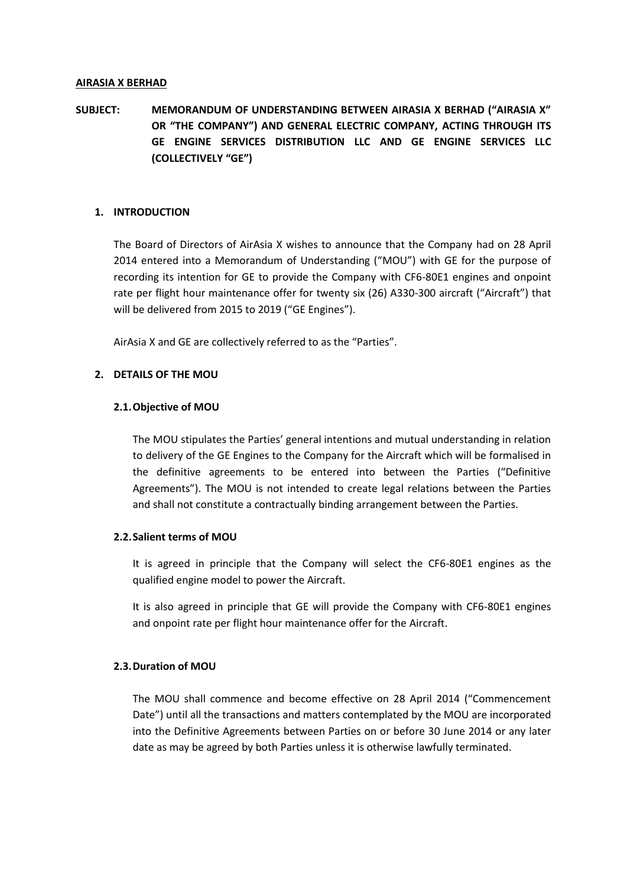#### **AIRASIA X BERHAD**

# **SUBJECT: MEMORANDUM OF UNDERSTANDING BETWEEN AIRASIA X BERHAD ("AIRASIA X" OR "THE COMPANY") AND GENERAL ELECTRIC COMPANY, ACTING THROUGH ITS GE ENGINE SERVICES DISTRIBUTION LLC AND GE ENGINE SERVICES LLC (COLLECTIVELY "GE")**

# **1. INTRODUCTION**

The Board of Directors of AirAsia X wishes to announce that the Company had on 28 April 2014 entered into a Memorandum of Understanding ("MOU") with GE for the purpose of recording its intention for GE to provide the Company with CF6-80E1 engines and onpoint rate per flight hour maintenance offer for twenty six (26) A330-300 aircraft ("Aircraft") that will be delivered from 2015 to 2019 ("GE Engines").

AirAsia X and GE are collectively referred to as the "Parties".

# **2. DETAILS OF THE MOU**

# **2.1.Objective of MOU**

The MOU stipulates the Parties' general intentions and mutual understanding in relation to delivery of the GE Engines to the Company for the Aircraft which will be formalised in the definitive agreements to be entered into between the Parties ("Definitive Agreements"). The MOU is not intended to create legal relations between the Parties and shall not constitute a contractually binding arrangement between the Parties.

# **2.2.Salient terms of MOU**

It is agreed in principle that the Company will select the CF6-80E1 engines as the qualified engine model to power the Aircraft.

It is also agreed in principle that GE will provide the Company with CF6-80E1 engines and onpoint rate per flight hour maintenance offer for the Aircraft.

# **2.3.Duration of MOU**

The MOU shall commence and become effective on 28 April 2014 ("Commencement Date") until all the transactions and matters contemplated by the MOU are incorporated into the Definitive Agreements between Parties on or before 30 June 2014 or any later date as may be agreed by both Parties unless it is otherwise lawfully terminated.